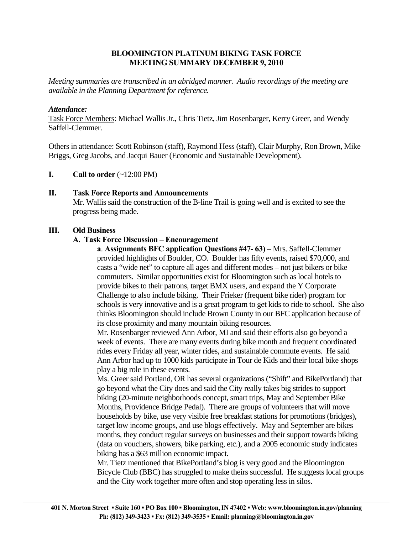# **BLOOMINGTON PLATINUM BIKING TASK FORCE MEETING SUMMARY DECEMBER 9, 2010**

*Meeting summaries are transcribed in an abridged manner. Audio recordings of the meeting are available in the Planning Department for reference.* 

## *Attendance:*

Task Force Members: Michael Wallis Jr., Chris Tietz, Jim Rosenbarger, Kerry Greer, and Wendy Saffell-Clemmer.

Others in attendance: Scott Robinson (staff), Raymond Hess (staff), Clair Murphy, Ron Brown, Mike Briggs, Greg Jacobs, and Jacqui Bauer (Economic and Sustainable Development).

**I.** Call to order  $(\sim 12:00 \text{ PM})$ 

# **II. Task Force Reports and Announcements**

 Mr. Wallis said the construction of the B-line Trail is going well and is excited to see the progress being made.

# **III. Old Business**

# **A. Task Force Discussion – Encouragement**

**a**. **Assignments BFC application Questions #47- 63)** – Mrs. Saffell-Clemmer provided highlights of Boulder, CO. Boulder has fifty events, raised \$70,000, and casts a "wide net" to capture all ages and different modes – not just bikers or bike commuters. Similar opportunities exist for Bloomington such as local hotels to provide bikes to their patrons, target BMX users, and expand the Y Corporate Challenge to also include biking. Their Frieker (frequent bike rider) program for schools is very innovative and is a great program to get kids to ride to school. She also thinks Bloomington should include Brown County in our BFC application because of its close proximity and many mountain biking resources.

Mr. Rosenbarger reviewed Ann Arbor, MI and said their efforts also go beyond a week of events. There are many events during bike month and frequent coordinated rides every Friday all year, winter rides, and sustainable commute events. He said Ann Arbor had up to 1000 kids participate in Tour de Kids and their local bike shops play a big role in these events.

 Ms. Greer said Portland, OR has several organizations ("Shift" and BikePortland) that go beyond what the City does and said the City really takes big strides to support biking (20-minute neighborhoods concept, smart trips, May and September Bike Months, Providence Bridge Pedal). There are groups of volunteers that will move households by bike, use very visible free breakfast stations for promotions (bridges), target low income groups, and use blogs effectively. May and September are bikes months, they conduct regular surveys on businesses and their support towards biking (data on vouchers, showers, bike parking, etc.), and a 2005 economic study indicates biking has a \$63 million economic impact.

 Mr. Tietz mentioned that BikePortland's blog is very good and the Bloomington Bicycle Club (BBC) has struggled to make theirs successful. He suggests local groups and the City work together more often and stop operating less in silos.